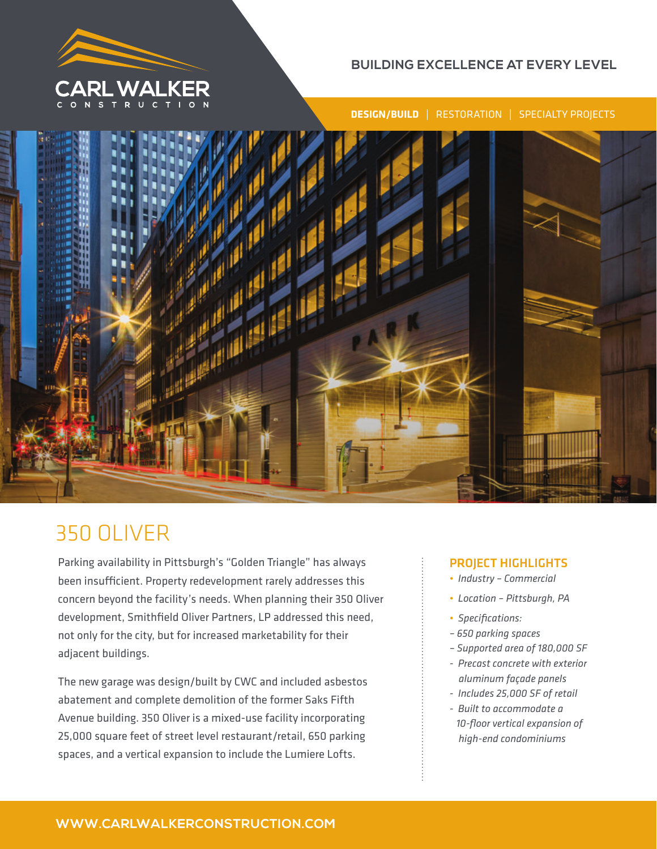

## **BUILDING EXCELLENCE AT EVERY LEVEL**

**DESIGN/BUILD** | RESTORATION | SPECIALTY PROJECTS



# 350 OLIVER

Parking availability in Pittsburgh's "Golden Triangle" has always been insufficient. Property redevelopment rarely addresses this concern beyond the facility's needs. When planning their 350 Oliver development, Smithfield Oliver Partners, LP addressed this need, not only for the city, but for increased marketability for their adjacent buildings.

The new garage was design/built by CWC and included asbestos abatement and complete demolition of the former Saks Fifth Avenue building. 350 Oliver is a mixed-use facility incorporating 25,000 square feet of street level restaurant/retail, 650 parking spaces, and a vertical expansion to include the Lumiere Lofts.

### PROJECT HIGHLIGHTS

- *Industry Commercial*
- *Location Pittsburgh, PA*
- *Specifications:*
- *650 parking spaces*
- *Supported area of 180,000 SF*
- *Precast concrete with exterior aluminum façade panels*
- *Includes 25,000 SF of retail*
- *Built to accommodate a 10-floor vertical expansion of high-end condominiums*